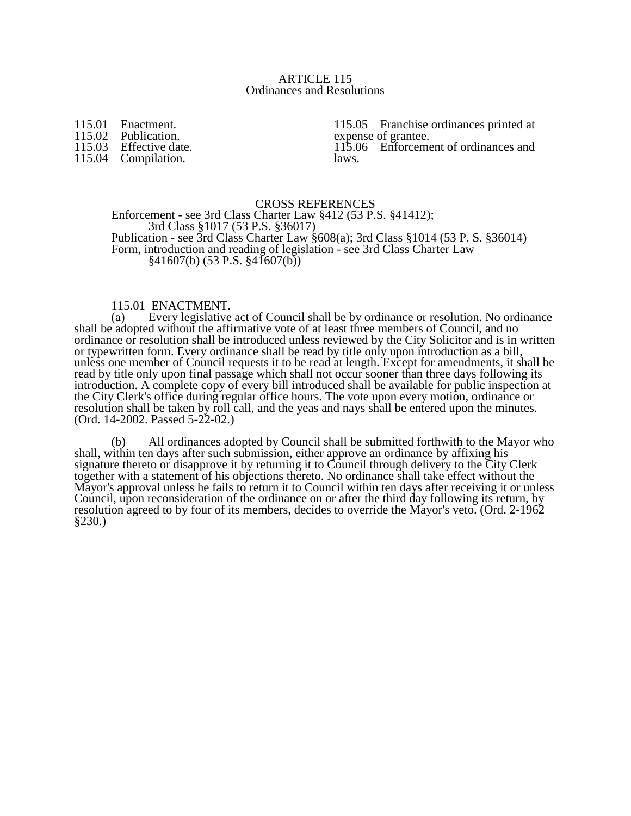#### ARTICLE 115 Ordinances and Resolutions

115.01 Enactment.<br>115.02 Publication. 115.02 Publication.<br>115.03 Effective dat Effective date.

115.04 Compilation.

115.05 Franchise ordinances printed at expense of grantee. 115.06 Enforcement of ordinances and laws.

## CROSS REFERENCES

Enforcement - see 3rd Class Charter Law §412 (53 P.S. §41412); 3rd Class §1017 (53 P.S. §36017) Publication - see 3rd Class Charter Law §608(a); 3rd Class §1014 (53 P. S. §36014) Form, introduction and reading of legislation - see 3rd Class Charter Law  $§41607(b) (53 P.S. \, $41607(b))$ 

### 115.01 ENACTMENT.

(a) Every legislative act of Council shall be by ordinance or resolution. No ordinance shall be adopted without the affirmative vote of at least three members of Council, and no ordinance or resolution shall be introduced unless reviewed by the City Solicitor and is in written or typewritten form. Every ordinance shall be read by title only upon introduction as a bill, unless one member of Council requests it to be read at length. Except for amendments, it shall be read by title only upon final passage which shall not occur sooner than three days following its introduction. A complete copy of every bill introduced shall be available for public inspection at the City Clerk's office during regular office hours. The vote upon every motion, ordinance or resolution shall be taken by roll call, and the yeas and nays shall be entered upon the minutes. (Ord. 14-2002. Passed 5-22-02.)

(b) All ordinances adopted by Council shall be submitted forthwith to the Mayor who shall, within ten days after such submission, either approve an ordinance by affixing his signature thereto or disapprove it by returning it to Council through delivery to the City Clerk together with a statement of his objections thereto. No ordinance shall take effect without the Mayor's approval unless he fails to return it to Council within ten days after receiving it or unless Council, upon reconsideration of the ordinance on or after the third day following its return, by resolution agreed to by four of its members, decides to override the Mayor's veto. (Ord. 2-1962 §230.)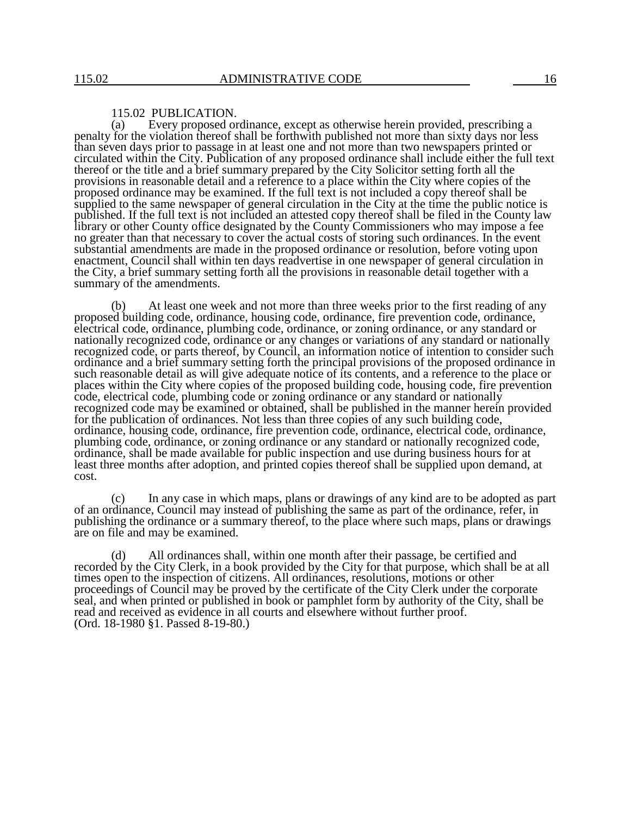#### 115.02 PUBLICATION.

(a) Every proposed ordinance, except as otherwise herein provided, prescribing a penalty for the violation thereof shall be forthwith published not more than sixty days nor less than seven days prior to passage in at least one and not more than two newspapers printed or circulated within the City. Publication of any proposed ordinance shall include either the full text thereof or the title and a brief summary prepared by the City Solicitor setting forth all the provisions in reasonable detail and a reference to a place within the City where copies of the proposed ordinance may be examined. If the full text is not included a copy thereof shall be supplied to the same newspaper of general circulation in the City at the time the public notice is published. If the full text is not included an attested copy thereof shall be filed in the County law library or other County office designated by the County Commissioners who may impose a fee no greater than that necessary to cover the actual costs of storing such ordinances. In the event substantial amendments are made in the proposed ordinance or resolution, before voting upon enactment, Council shall within ten days readvertise in one newspaper of general circulation in the City, a brief summary setting forth all the provisions in reasonable detail together with a summary of the amendments.

(b) At least one week and not more than three weeks prior to the first reading of any proposed building code, ordinance, housing code, ordinance, fire prevention code, ordinance, electrical code, ordinance, plumbing code, ordinance, or zoning ordinance, or any standard or nationally recognized code, ordinance or any changes or variations of any standard or nationally recognized code, or parts thereof, by Council, an information notice of intention to consider such ordinance and a brief summary setting forth the principal provisions of the proposed ordinance in such reasonable detail as will give adequate notice of its contents, and a reference to the place or places within the City where copies of the proposed building code, housing code, fire prevention code, electrical code, plumbing code or zoning ordinance or any standard or nationally recognized code may be examined or obtained, shall be published in the manner herein provided for the publication of ordinances. Not less than three copies of any such building code, ordinance, housing code, ordinance, fire prevention code, ordinance, electrical code, ordinance, plumbing code, ordinance, or zoning ordinance or any standard or nationally recognized code, ordinance, shall be made available for public inspection and use during business hours for at least three months after adoption, and printed copies thereof shall be supplied upon demand, at cost.

(c) In any case in which maps, plans or drawings of any kind are to be adopted as part of an ordinance, Council may instead of publishing the same as part of the ordinance, refer, in publishing the ordinance or a summary thereof, to the place where such maps, plans or drawings are on file and may be examined.

(d) All ordinances shall, within one month after their passage, be certified and recorded by the City Clerk, in a book provided by the City for that purpose, which shall be at all times open to the inspection of citizens. All ordinances, resolutions, motions or other proceedings of Council may be proved by the certificate of the City Clerk under the corporate seal, and when printed or published in book or pamphlet form by authority of the City, shall be read and received as evidence in all courts and elsewhere without further proof. (Ord. 18-1980 §1. Passed 8-19-80.)